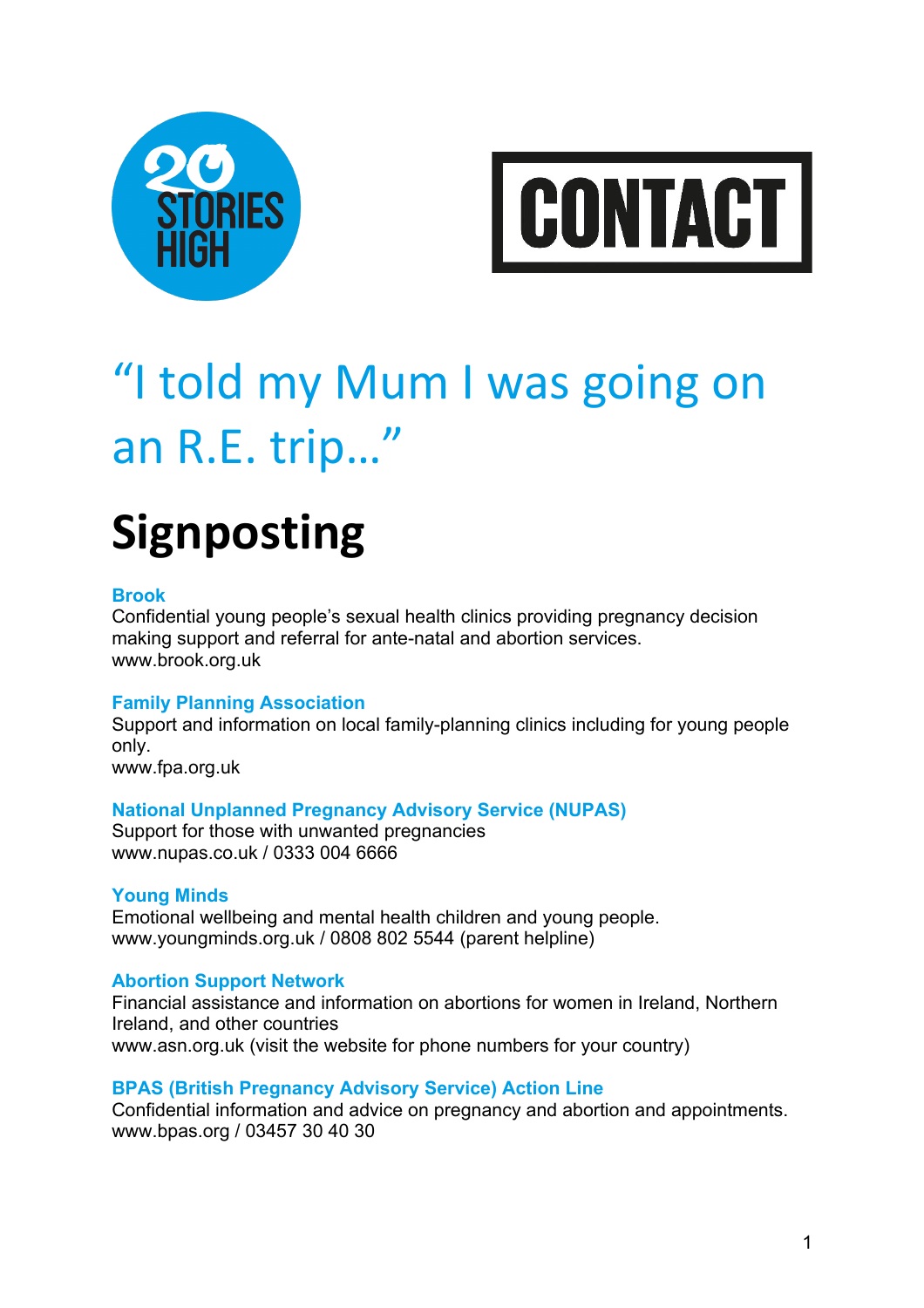



# "I told my Mum I was going on an R.E. trip…"

# **Signposting**

# **Brook**

Confidential young people's sexual health clinics providing pregnancy decision making support and referral for ante-natal and abortion services. www.brook.org.uk

# **Family Planning Association**

Support and information on local family-planning clinics including for young people only.

www.fpa.org.uk

# **National Unplanned Pregnancy Advisory Service (NUPAS)**

Support for those with unwanted pregnancies www.nupas.co.uk / 0333 004 6666

#### **Young Minds**

Emotional wellbeing and mental health children and young people. www.youngminds.org.uk / 0808 802 5544 (parent helpline)

# **Abortion Support Network**

Financial assistance and information on abortions for women in Ireland, Northern Ireland, and other countries www.asn.org.uk (visit the website for phone numbers for your country)

#### **BPAS (British Pregnancy Advisory Service) Action Line**

Confidential information and advice on pregnancy and abortion and appointments. www.bpas.org / 03457 30 40 30